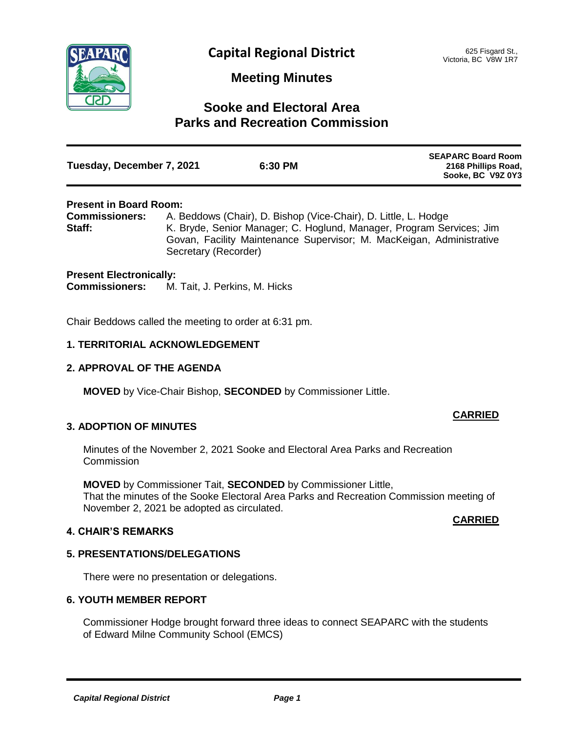

# **Meeting Minutes**

# **Sooke and Electoral Area Parks and Recreation Commission**

| Tuesday, December 7, 2021 | 6:30 PM | <b>SEAPARC Board Room</b><br>2168 Phillips Road,<br>Sooke, BC V9Z 0Y3 |
|---------------------------|---------|-----------------------------------------------------------------------|
|                           |         |                                                                       |

### **Present in Board Room:**

**Commissioners:** A. Beddows (Chair), D. Bishop (Vice-Chair), D. Little, L. Hodge **Staff:** K. Bryde, Senior Manager; C. Hoglund, Manager, Program Services; Jim Govan, Facility Maintenance Supervisor; M. MacKeigan, Administrative Secretary (Recorder)

#### **Present Electronically:**

**Commissioners:** M. Tait, J. Perkins, M. Hicks

Chair Beddows called the meeting to order at 6:31 pm.

### **1. TERRITORIAL ACKNOWLEDGEMENT**

## **2. APPROVAL OF THE AGENDA**

**MOVED** by Vice-Chair Bishop, **SECONDED** by Commissioner Little.

## **3. ADOPTION OF MINUTES**

Minutes of the November 2, 2021 Sooke and Electoral Area Parks and Recreation **Commission** 

**MOVED** by Commissioner Tait, **SECONDED** by Commissioner Little, That the minutes of the Sooke Electoral Area Parks and Recreation Commission meeting of November 2, 2021 be adopted as circulated.

## **4. CHAIR'S REMARKS**

#### **CARRIED**

**CARRIED**

## **5. PRESENTATIONS/DELEGATIONS**

There were no presentation or delegations.

#### **6. YOUTH MEMBER REPORT**

Commissioner Hodge brought forward three ideas to connect SEAPARC with the students of Edward Milne Community School (EMCS)

*Capital Regional District Page 1*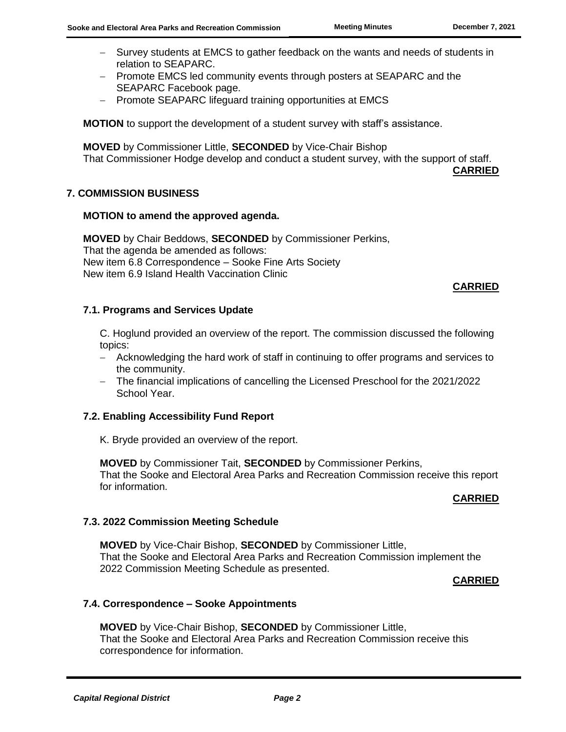- Survey students at EMCS to gather feedback on the wants and needs of students in relation to SEAPARC.
- Promote EMCS led community events through posters at SEAPARC and the SEAPARC Facebook page.
- Promote SEAPARC lifeguard training opportunities at EMCS

**MOTION** to support the development of a student survey with staff's assistance.

**MOVED** by Commissioner Little, **SECONDED** by Vice-Chair Bishop That Commissioner Hodge develop and conduct a student survey, with the support of staff.

**CARRIED**

## **7. COMMISSION BUSINESS**

### **MOTION to amend the approved agenda.**

**MOVED** by Chair Beddows, **SECONDED** by Commissioner Perkins, That the agenda be amended as follows: New item 6.8 Correspondence – Sooke Fine Arts Society New item 6.9 Island Health Vaccination Clinic

### **CARRIED**

### **7.1. Programs and Services Update**

C. Hoglund provided an overview of the report. The commission discussed the following topics:

- Acknowledging the hard work of staff in continuing to offer programs and services to the community.
- The financial implications of cancelling the Licensed Preschool for the 2021/2022 School Year.

## **7.2. Enabling Accessibility Fund Report**

K. Bryde provided an overview of the report.

**MOVED** by Commissioner Tait, **SECONDED** by Commissioner Perkins, That the Sooke and Electoral Area Parks and Recreation Commission receive this report for information.

#### **CARRIED**

#### **7.3. 2022 Commission Meeting Schedule**

**MOVED** by Vice-Chair Bishop, **SECONDED** by Commissioner Little, That the Sooke and Electoral Area Parks and Recreation Commission implement the 2022 Commission Meeting Schedule as presented.

#### **CARRIED**

#### **7.4. Correspondence – Sooke Appointments**

**MOVED** by Vice-Chair Bishop, **SECONDED** by Commissioner Little, That the Sooke and Electoral Area Parks and Recreation Commission receive this correspondence for information.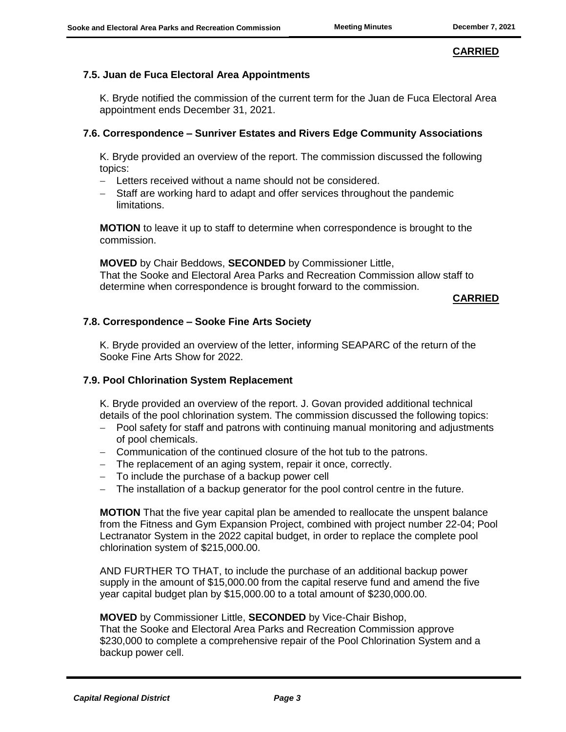# **CARRIED**

# **7.5. Juan de Fuca Electoral Area Appointments**

K. Bryde notified the commission of the current term for the Juan de Fuca Electoral Area appointment ends December 31, 2021.

## **7.6. Correspondence – Sunriver Estates and Rivers Edge Community Associations**

K. Bryde provided an overview of the report. The commission discussed the following topics:

- Letters received without a name should not be considered.
- Staff are working hard to adapt and offer services throughout the pandemic limitations.

**MOTION** to leave it up to staff to determine when correspondence is brought to the commission.

**MOVED** by Chair Beddows, **SECONDED** by Commissioner Little, That the Sooke and Electoral Area Parks and Recreation Commission allow staff to determine when correspondence is brought forward to the commission.

#### **CARRIED**

### **7.8. Correspondence – Sooke Fine Arts Society**

K. Bryde provided an overview of the letter, informing SEAPARC of the return of the Sooke Fine Arts Show for 2022.

#### **7.9. Pool Chlorination System Replacement**

K. Bryde provided an overview of the report. J. Govan provided additional technical details of the pool chlorination system. The commission discussed the following topics:

- Pool safety for staff and patrons with continuing manual monitoring and adjustments of pool chemicals.
- Communication of the continued closure of the hot tub to the patrons.
- The replacement of an aging system, repair it once, correctly.
- To include the purchase of a backup power cell
- The installation of a backup generator for the pool control centre in the future.

**MOTION** That the five year capital plan be amended to reallocate the unspent balance from the Fitness and Gym Expansion Project, combined with project number 22-04; Pool Lectranator System in the 2022 capital budget, in order to replace the complete pool chlorination system of \$215,000.00.

AND FURTHER TO THAT, to include the purchase of an additional backup power supply in the amount of \$15,000.00 from the capital reserve fund and amend the five year capital budget plan by \$15,000.00 to a total amount of \$230,000.00.

#### **MOVED** by Commissioner Little, **SECONDED** by Vice-Chair Bishop,

That the Sooke and Electoral Area Parks and Recreation Commission approve \$230,000 to complete a comprehensive repair of the Pool Chlorination System and a backup power cell.